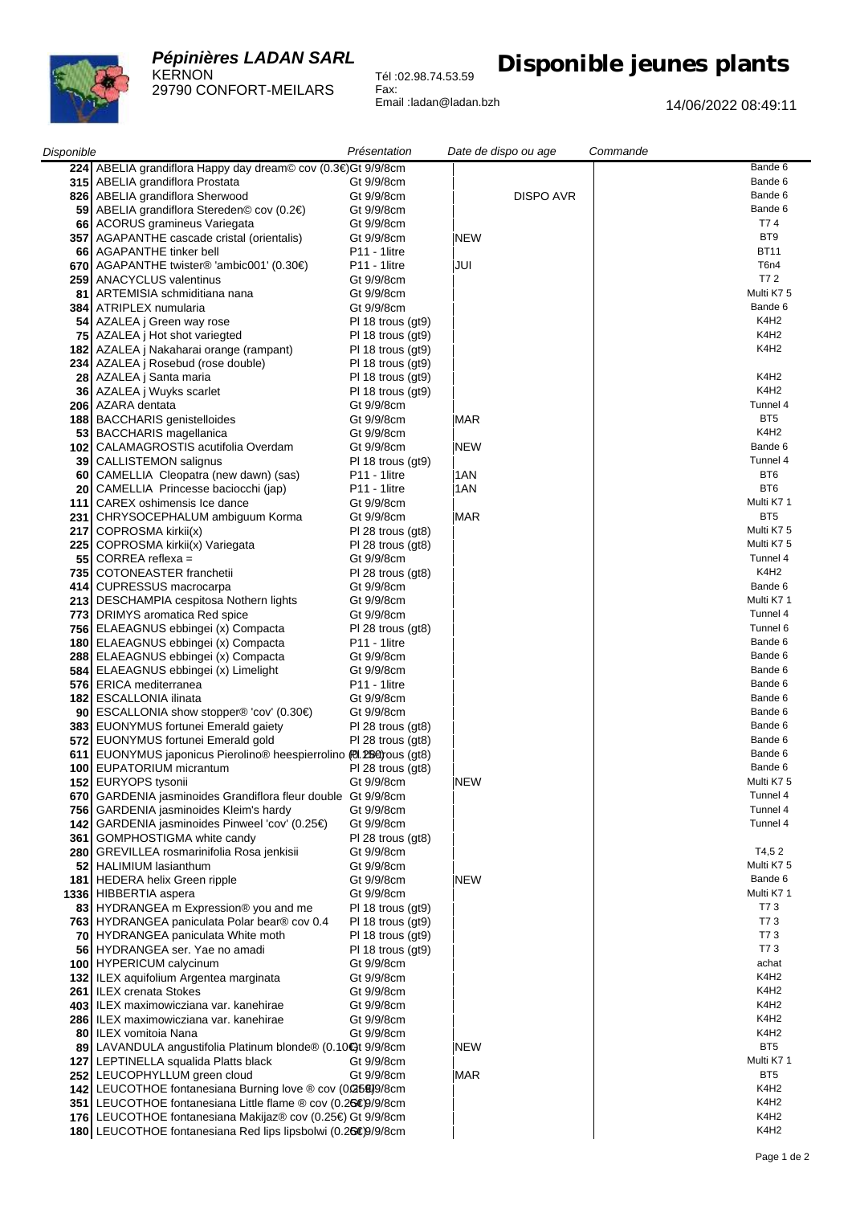## *Pépinières LADAN SARL* KERNON



29790 CONFORT-MEILARS Tél :02.98.74.53.59 Fax: Email :ladan@ladan.bzh

## **Disponible jeunes plants**

14/06/2022 08:49:11

| Disponible |                                                                | Présentation             | Date de dispo ou age | Commande         |
|------------|----------------------------------------------------------------|--------------------------|----------------------|------------------|
|            | 224 ABELIA grandiflora Happy day dream© cov (0.3€)Gt 9/9/8cm   |                          |                      | Bande 6          |
| 315        | ABELIA grandiflora Prostata                                    | Gt 9/9/8cm               |                      | Bande 6          |
| 826        | ABELIA grandiflora Sherwood                                    | Gt 9/9/8cm               | DISPO AVR            | Bande 6          |
|            |                                                                |                          |                      | Bande 6          |
| 59         | ABELIA grandiflora Stereden© cov (0.2€)                        | Gt 9/9/8cm               |                      |                  |
| 66         | ACORUS gramineus Variegata                                     | Gt 9/9/8cm               |                      | T74              |
|            | 357   AGAPANTHE cascade cristal (orientalis)                   | Gt 9/9/8cm               | <b>NEW</b>           | BT <sub>9</sub>  |
| 66         | AGAPANTHE tinker bell                                          | <b>P11 - 1litre</b>      |                      | <b>BT11</b>      |
| 670        | AGAPANTHE twister® 'ambic001' (0.30€)                          | P11 - 1litre             | JUI                  | T6n4             |
| 259        | ANACYCLUS valentinus                                           | Gt 9/9/8cm               |                      | T7 2             |
| 81         | ARTEMISIA schmiditiana nana                                    | Gt 9/9/8cm               |                      | Multi K75        |
| 384        | ATRIPLEX numularia                                             | Gt 9/9/8cm               |                      | Bande 6          |
|            |                                                                |                          |                      |                  |
| 54         | AZALEA j Green way rose                                        | PI 18 trous (gt9)        |                      | K4H <sub>2</sub> |
| 75         | AZALEA j Hot shot variegted                                    | PI 18 trous (gt9)        |                      | K4H <sub>2</sub> |
| 182        | AZALEA j Nakaharai orange (rampant)                            | PI 18 trous (gt9)        |                      | K4H <sub>2</sub> |
| 234        | AZALEA j Rosebud (rose double)                                 | PI 18 trous (gt9)        |                      |                  |
| 28         | AZALEA j Santa maria                                           | PI 18 trous (gt9)        |                      | K4H2             |
| 36         | AZALEA j Wuyks scarlet                                         | $PI$ 18 trous (gt9)      |                      | K4H <sub>2</sub> |
| 206        | AZARA dentata                                                  | Gt 9/9/8cm               |                      | Tunnel 4         |
| 188        | <b>BACCHARIS</b> genistelloides                                | Gt 9/9/8cm               | IMAR                 | BT <sub>5</sub>  |
| 53         | <b>BACCHARIS</b> magellanica                                   | Gt 9/9/8cm               |                      | K4H <sub>2</sub> |
|            |                                                                |                          |                      |                  |
| 102        | CALAMAGROSTIS acutifolia Overdam                               | Gt 9/9/8cm               | <b>NEW</b>           | Bande 6          |
| 39         | CALLISTEMON salignus                                           | $PI$ 18 trous (gt9)      |                      | Tunnel 4         |
| 60         | CAMELLIA Cleopatra (new dawn) (sas)                            | <b>P11 - 1litre</b>      | 1AN                  | BT6              |
| 20         | CAMELLIA Princesse baciocchi (jap)                             | P11 - 1litre             | 1AN                  | BT <sub>6</sub>  |
| 111        | CAREX oshimensis Ice dance                                     | Gt 9/9/8cm               |                      | Multi K7 1       |
| 231        | CHRYSOCEPHALUM ambiguum Korma                                  | Gt 9/9/8cm               | IMAR                 | BT <sub>5</sub>  |
| 217        | COPROSMA kirkii(x)                                             | PI 28 trous (gt8)        |                      | Multi K7 5       |
| 225        | COPROSMA kirkii(x) Variegata                                   | PI 28 trous (gt8)        |                      | Multi K75        |
|            | $CORREA$ reflexa =                                             | Gt 9/9/8cm               |                      | Tunnel 4         |
| 55         |                                                                |                          |                      |                  |
| 735        | COTONEASTER franchetii                                         | PI 28 trous (gt8)        |                      | K4H <sub>2</sub> |
| 414        | CUPRESSUS macrocarpa                                           | Gt 9/9/8cm               |                      | Bande 6          |
|            | 213 DESCHAMPIA cespitosa Nothern lights                        | Gt 9/9/8cm               |                      | Multi K7 1       |
|            | 773 DRIMYS aromatica Red spice                                 | Gt 9/9/8cm               |                      | Tunnel 4         |
|            | 756 ELAEAGNUS ebbingei (x) Compacta                            | $PI$ 28 trous (gt8)      |                      | Tunnel 6         |
|            | 180 ELAEAGNUS ebbingei (x) Compacta                            | P <sub>11</sub> - 1litre |                      | Bande 6          |
|            | 288 ELAEAGNUS ebbingei (x) Compacta                            | Gt 9/9/8cm               |                      | Bande 6          |
|            | 584 ELAEAGNUS ebbingei (x) Limelight                           | Gt 9/9/8cm               |                      | Bande 6          |
|            | 576   ERICA mediterranea                                       | P11 - 1litre             |                      | Bande 6          |
|            |                                                                |                          |                      |                  |
|            | 182   ESCALLONIA ilinata                                       | Gt 9/9/8cm               |                      | Bande 6          |
|            | 90 ESCALLONIA show stopper® 'cov' (0.30€)                      | Gt 9/9/8cm               |                      | Bande 6          |
|            | 383 EUONYMUS fortunei Emerald gaiety                           | $PI$ 28 trous (gt8)      |                      | Bande 6          |
| 572        | EUONYMUS fortunei Emerald gold                                 | $PI$ 28 trous (gt8)      |                      | Bande 6          |
| 611        | EUONYMUS japonicus Pierolino® heespierrolino (2.254) ous (gt8) |                          |                      | Bande 6          |
| 100        | EUPATORIUM micrantum                                           | PI 28 trous (gt8)        |                      | Bande 6          |
|            | 152 EURYOPS tysonii                                            | Gt 9/9/8cm               | <b>NEW</b>           | Multi K7 5       |
|            | 670 GARDENIA jasminoides Grandiflora fleur double Gt 9/9/8cm   |                          |                      | Tunnel 4         |
| 756        | <b>GARDENIA</b> jasminoides Kleim's hardy                      | Gt 9/9/8cm               |                      | Tunnel 4         |
|            | 142 GARDENIA jasminoides Pinweel 'cov' (0.25€)                 | Gt 9/9/8cm               |                      | Tunnel 4         |
|            |                                                                |                          |                      |                  |
|            | 361   GOMPHOSTIGMA white candy                                 | $PI$ 28 trous (gt8)      |                      |                  |
|            | 280   GREVILLEA rosmarinifolia Rosa jenkisii                   | Gt 9/9/8cm               |                      | T4,52            |
|            | 52   HALIMIUM lasianthum                                       | Gt 9/9/8cm               |                      | Multi K7 5       |
|            | 181   HEDERA helix Green ripple                                | Gt 9/9/8cm               | <b>NEW</b>           | Bande 6          |
|            | 1336 HIBBERTIA aspera                                          | Gt 9/9/8cm               |                      | Multi K7 1       |
|            | 83 HYDRANGEA m Expression® you and me                          | $PI$ 18 trous (gt9)      |                      | T73              |
|            | 763 HYDRANGEA paniculata Polar bear® cov 0.4                   | $PI 18$ trous (gt9)      |                      | T73              |
|            | 70 HYDRANGEA paniculata White moth                             | $PI 18$ trous (gt9)      |                      | T73              |
|            | 56 HYDRANGEA ser. Yae no amadi                                 | PI 18 trous (gt9)        |                      | T73              |
|            | 100 HYPERICUM calycinum                                        | Gt 9/9/8cm               |                      | achat            |
|            |                                                                |                          |                      |                  |
|            | 132 ILEX aquifolium Argentea marginata                         | Gt 9/9/8cm               |                      | K4H <sub>2</sub> |
|            | 261   ILEX crenata Stokes                                      | Gt 9/9/8cm               |                      | K4H <sub>2</sub> |
|            | 403   ILEX maximowicziana var. kanehirae                       | Gt 9/9/8cm               |                      | K4H <sub>2</sub> |
|            | 286   ILEX maximowicziana var. kanehirae                       | Gt 9/9/8cm               |                      | K4H <sub>2</sub> |
| 80         | ILEX vomitoia Nana                                             | Gt 9/9/8cm               |                      | K4H2             |
|            | 89 LAVANDULA angustifolia Platinum blonde® (0.10+)t 9/9/8cm    |                          | <b>NEW</b>           | BT <sub>5</sub>  |
|            | 127 LEPTINELLA squalida Platts black                           | Gt 9/9/8cm               |                      | Multi K7 1       |
|            | 252 LEUCOPHYLLUM green cloud                                   | Gt 9/9/8cm               | <b>MAR</b>           | BT5              |
|            | 142 LEUCOTHOE fontanesiana Burning love ® cov (0266)9/8cm      |                          |                      | K4H <sub>2</sub> |
|            |                                                                |                          |                      | K4H <sub>2</sub> |
|            | 351 LEUCOTHOE fontanesiana Little flame ® cov (0.26€9/9/8cm    |                          |                      |                  |
|            | 176 LEUCOTHOE fontanesiana Makijaz® cov (0.25€) Gt 9/9/8cm     |                          |                      | K4H2             |
|            | 180 LEUCOTHOE fontanesiana Red lips lipsbolwi (0.26€9/9/8cm    |                          |                      | K4H <sub>2</sub> |